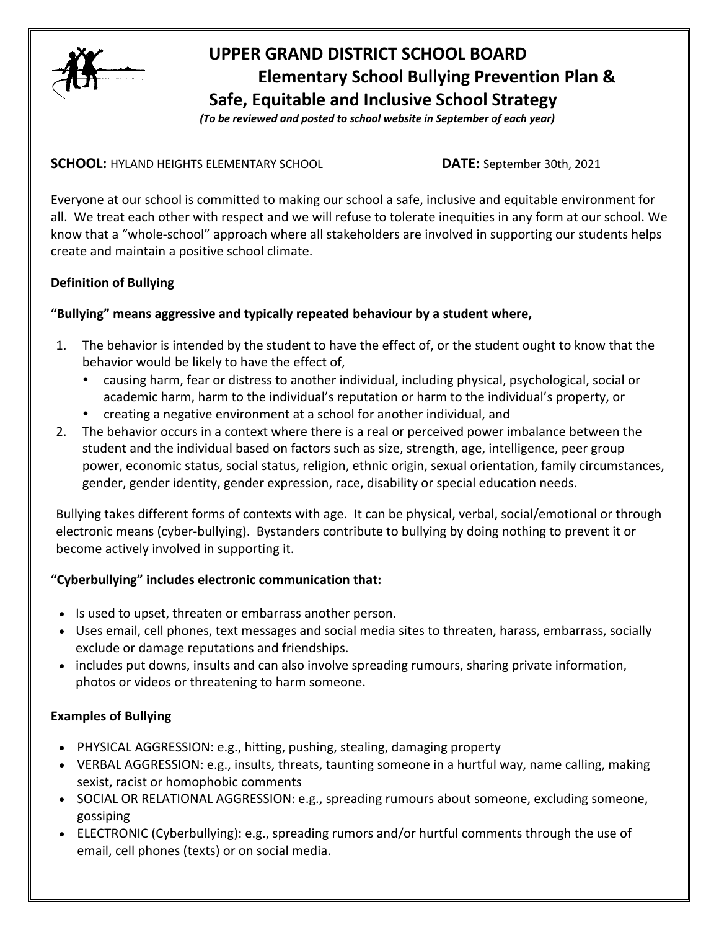

# **UPPER GRAND DISTRICT SCHOOL BOARD Elementary School Bullying Prevention Plan & Safe, Equitable and Inclusive School Strategy**

 *(To be reviewed and posted to school website in September of each year)*

**SCHOOL:** HYLAND HEIGHTS ELEMENTARY SCHOOL **DATE:** September 30th, 2021

Everyone at our school is committed to making our school a safe, inclusive and equitable environment for all. We treat each other with respect and we will refuse to tolerate inequities in any form at our school. We know that a "whole-school" approach where all stakeholders are involved in supporting our students helps create and maintain a positive school climate.

# **Definition of Bullying**

# **"Bullying" means aggressive and typically repeated behaviour by a student where,**

- 1. The behavior is intended by the student to have the effect of, or the student ought to know that the behavior would be likely to have the effect of,
	- causing harm, fear or distress to another individual, including physical, psychological, social or academic harm, harm to the individual's reputation or harm to the individual's property, or
	- creating a negative environment at a school for another individual, and
- 2. The behavior occurs in a context where there is a real or perceived power imbalance between the student and the individual based on factors such as size, strength, age, intelligence, peer group power, economic status, social status, religion, ethnic origin, sexual orientation, family circumstances, gender, gender identity, gender expression, race, disability or special education needs.

Bullying takes different forms of contexts with age. It can be physical, verbal, social/emotional or through electronic means (cyber-bullying). Bystanders contribute to bullying by doing nothing to prevent it or become actively involved in supporting it.

# **"Cyberbullying" includes electronic communication that:**

- Is used to upset, threaten or embarrass another person.
- Uses email, cell phones, text messages and social media sites to threaten, harass, embarrass, socially exclude or damage reputations and friendships.
- includes put downs, insults and can also involve spreading rumours, sharing private information, photos or videos or threatening to harm someone.

# **Examples of Bullying**

- PHYSICAL AGGRESSION: e.g., hitting, pushing, stealing, damaging property
- VERBAL AGGRESSION: e.g., insults, threats, taunting someone in a hurtful way, name calling, making sexist, racist or homophobic comments
- SOCIAL OR RELATIONAL AGGRESSION: e.g., spreading rumours about someone, excluding someone, gossiping
- ELECTRONIC (Cyberbullying): e.g., spreading rumors and/or hurtful comments through the use of email, cell phones (texts) or on social media.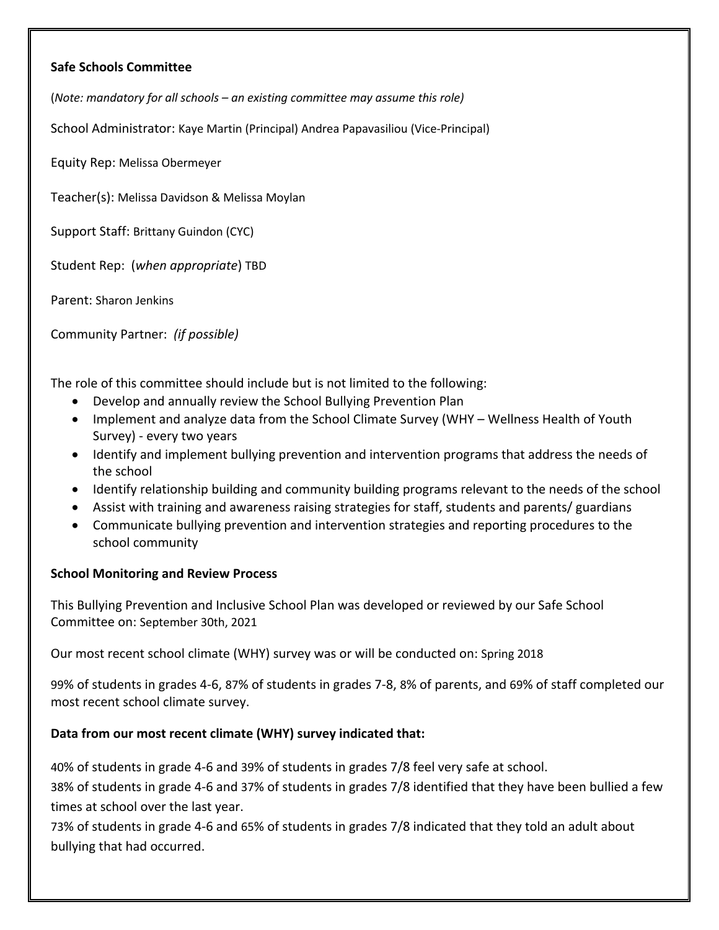#### **Safe Schools Committee**

(*Note: mandatory for all schools – an existing committee may assume this role)*

School Administrator: Kaye Martin (Principal) Andrea Papavasiliou (Vice-Principal)

Equity Rep: Melissa Obermeyer

Teacher(s): Melissa Davidson & Melissa Moylan

Support Staff: Brittany Guindon (CYC)

Student Rep: (*when appropriate*) TBD

Parent: Sharon Jenkins

Community Partner: *(if possible)*

The role of this committee should include but is not limited to the following:

- Develop and annually review the School Bullying Prevention Plan
- Implement and analyze data from the School Climate Survey (WHY Wellness Health of Youth Survey) - every two years
- Identify and implement bullying prevention and intervention programs that address the needs of the school
- Identify relationship building and community building programs relevant to the needs of the school
- Assist with training and awareness raising strategies for staff, students and parents/ guardians
- Communicate bullying prevention and intervention strategies and reporting procedures to the school community

# **School Monitoring and Review Process**

This Bullying Prevention and Inclusive School Plan was developed or reviewed by our Safe School Committee on: September 30th, 2021

Our most recent school climate (WHY) survey was or will be conducted on: Spring 2018

99% of students in grades 4-6, 87% of students in grades 7-8, 8% of parents, and 69% of staff completed our most recent school climate survey.

# **Data from our most recent climate (WHY) survey indicated that:**

40% of students in grade 4-6 and 39% of students in grades 7/8 feel very safe at school.

38% of students in grade 4-6 and 37% of students in grades 7/8 identified that they have been bullied a few times at school over the last year.

73% of students in grade 4-6 and 65% of students in grades 7/8 indicated that they told an adult about bullying that had occurred.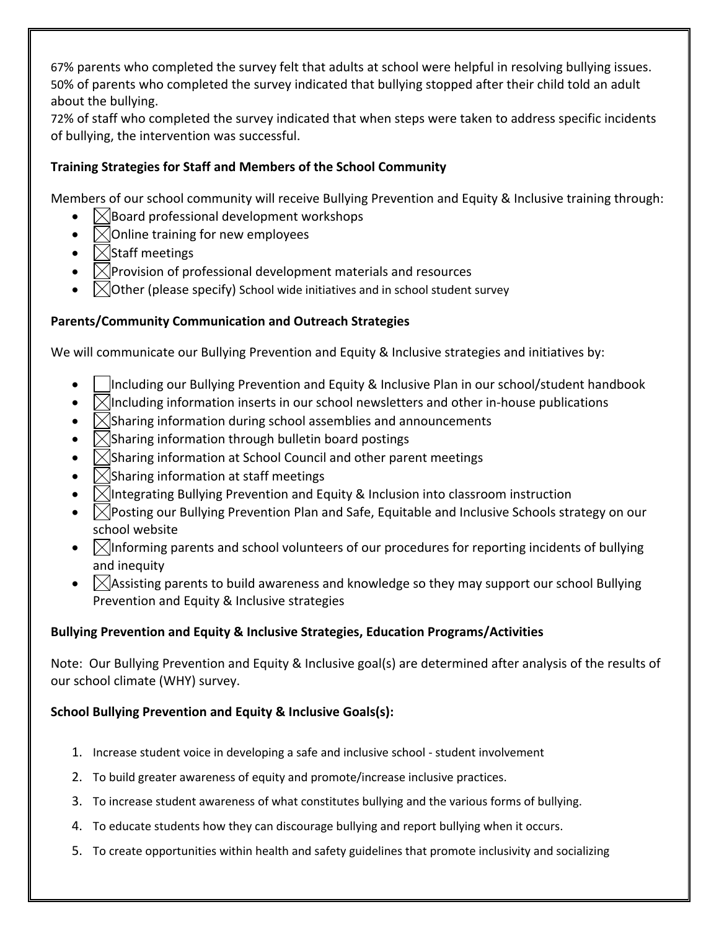67% parents who completed the survey felt that adults at school were helpful in resolving bullying issues. 50% of parents who completed the survey indicated that bullying stopped after their child told an adult about the bullying.

72% of staff who completed the survey indicated that when steps were taken to address specific incidents of bullying, the intervention was successful.

# **Training Strategies for Staff and Members of the School Community**

Members of our school community will receive Bullying Prevention and Equity & Inclusive training through:

- $\boxtimes$  Board professional development workshops
- $\sqrt{\frac{1}{10}}$  Online training for new employees
- $\Box$ Staff meetings
- $\boxtimes$  Provision of professional development materials and resources
- Other (please specify) School wide initiatives and in school student survey

# **Parents/Community Communication and Outreach Strategies**

We will communicate our Bullying Prevention and Equity & Inclusive strategies and initiatives by:

- | Including our Bullying Prevention and Equity & Inclusive Plan in our school/student handbook
- $\bowtie$ Including information inserts in our school newsletters and other in-house publications
- $\Box$ Sharing information during school assemblies and announcements
- $\sqrt{\frac{1}{1}}$ Sharing information through bulletin board postings
- $\Box$ Sharing information at School Council and other parent meetings
- $\lfloor \times \rfloor$ Sharing information at staff meetings
- $\Box$  Integrating Bullying Prevention and Equity & Inclusion into classroom instruction
- $\Box$  Posting our Bullying Prevention Plan and Safe, Equitable and Inclusive Schools strategy on our school website
- $\Box$  Informing parents and school volunteers of our procedures for reporting incidents of bullying and inequity
- $\Box$  Assisting parents to build awareness and knowledge so they may support our school Bullying Prevention and Equity & Inclusive strategies

# **Bullying Prevention and Equity & Inclusive Strategies, Education Programs/Activities**

Note: Our Bullying Prevention and Equity & Inclusive goal(s) are determined after analysis of the results of our school climate (WHY) survey.

# **School Bullying Prevention and Equity & Inclusive Goals(s):**

- 1. Increase student voice in developing a safe and inclusive school student involvement
- 2. To build greater awareness of equity and promote/increase inclusive practices.
- 3. To increase student awareness of what constitutes bullying and the various forms of bullying.
- 4. To educate students how they can discourage bullying and report bullying when it occurs.
- 5. To create opportunities within health and safety guidelines that promote inclusivity and socializing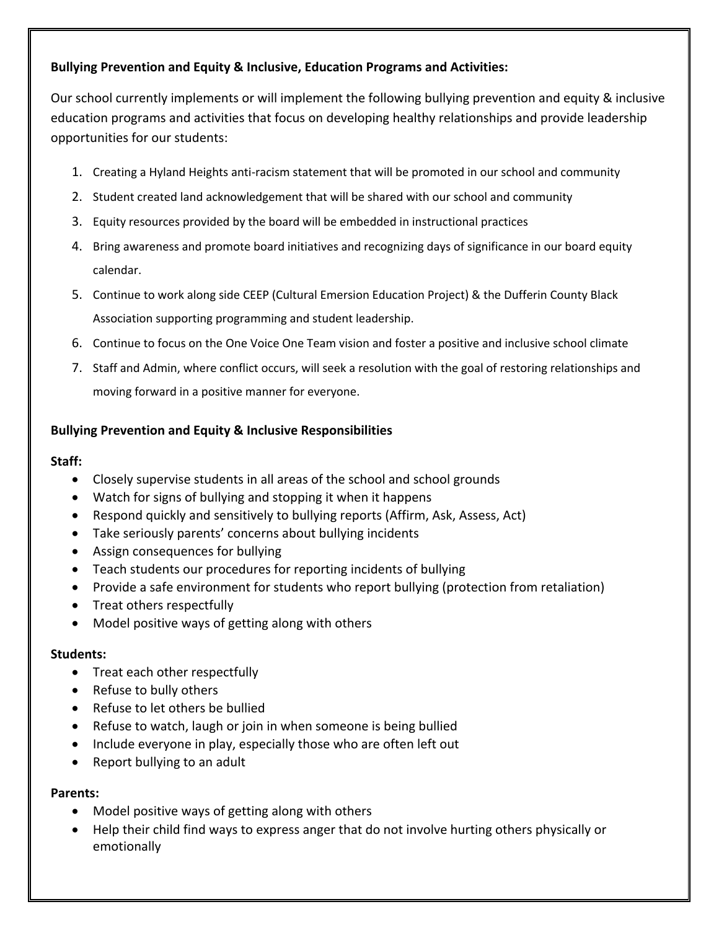# **Bullying Prevention and Equity & Inclusive, Education Programs and Activities:**

Our school currently implements or will implement the following bullying prevention and equity & inclusive education programs and activities that focus on developing healthy relationships and provide leadership opportunities for our students:

- 1. Creating a Hyland Heights anti-racism statement that will be promoted in our school and community
- 2. Student created land acknowledgement that will be shared with our school and community
- 3. Equity resources provided by the board will be embedded in instructional practices
- 4. Bring awareness and promote board initiatives and recognizing days of significance in our board equity calendar.
- 5. Continue to work along side CEEP (Cultural Emersion Education Project) & the Dufferin County Black Association supporting programming and student leadership.
- 6. Continue to focus on the One Voice One Team vision and foster a positive and inclusive school climate
- 7. Staff and Admin, where conflict occurs, will seek a resolution with the goal of restoring relationships and moving forward in a positive manner for everyone.

# **Bullying Prevention and Equity & Inclusive Responsibilities**

#### **Staff:**

- Closely supervise students in all areas of the school and school grounds
- Watch for signs of bullying and stopping it when it happens
- Respond quickly and sensitively to bullying reports (Affirm, Ask, Assess, Act)
- Take seriously parents' concerns about bullying incidents
- Assign consequences for bullying
- Teach students our procedures for reporting incidents of bullying
- Provide a safe environment for students who report bullying (protection from retaliation)
- Treat others respectfully
- Model positive ways of getting along with others

# **Students:**

- Treat each other respectfully
- Refuse to bully others
- Refuse to let others be bullied
- Refuse to watch, laugh or join in when someone is being bullied
- Include everyone in play, especially those who are often left out
- Report bullying to an adult

# **Parents:**

- Model positive ways of getting along with others
- Help their child find ways to express anger that do not involve hurting others physically or emotionally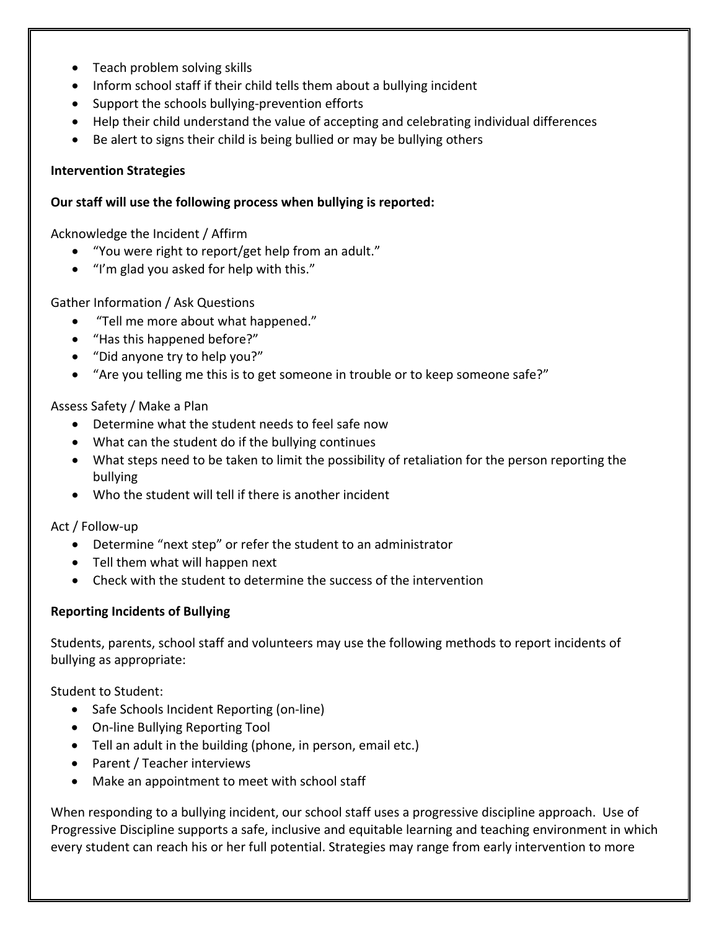- Teach problem solving skills
- Inform school staff if their child tells them about a bullying incident
- Support the schools bullying-prevention efforts
- Help their child understand the value of accepting and celebrating individual differences
- Be alert to signs their child is being bullied or may be bullying others

# **Intervention Strategies**

#### **Our staff will use the following process when bullying is reported:**

Acknowledge the Incident / Affirm

- "You were right to report/get help from an adult."
- "I'm glad you asked for help with this."

# Gather Information / Ask Questions

- "Tell me more about what happened."
- "Has this happened before?"
- "Did anyone try to help you?"
- "Are you telling me this is to get someone in trouble or to keep someone safe?"

# Assess Safety / Make a Plan

- Determine what the student needs to feel safe now
- What can the student do if the bullying continues
- What steps need to be taken to limit the possibility of retaliation for the person reporting the bullying
- Who the student will tell if there is another incident

Act / Follow-up

- Determine "next step" or refer the student to an administrator
- Tell them what will happen next
- Check with the student to determine the success of the intervention

# **Reporting Incidents of Bullying**

Students, parents, school staff and volunteers may use the following methods to report incidents of bullying as appropriate:

Student to Student:

- Safe Schools Incident Reporting (on-line)
- On-line Bullying Reporting Tool
- Tell an adult in the building (phone, in person, email etc.)
- Parent / Teacher interviews
- Make an appointment to meet with school staff

When responding to a bullying incident, our school staff uses a progressive discipline approach. Use of Progressive Discipline supports a safe, inclusive and equitable learning and teaching environment in which every student can reach his or her full potential. Strategies may range from early intervention to more